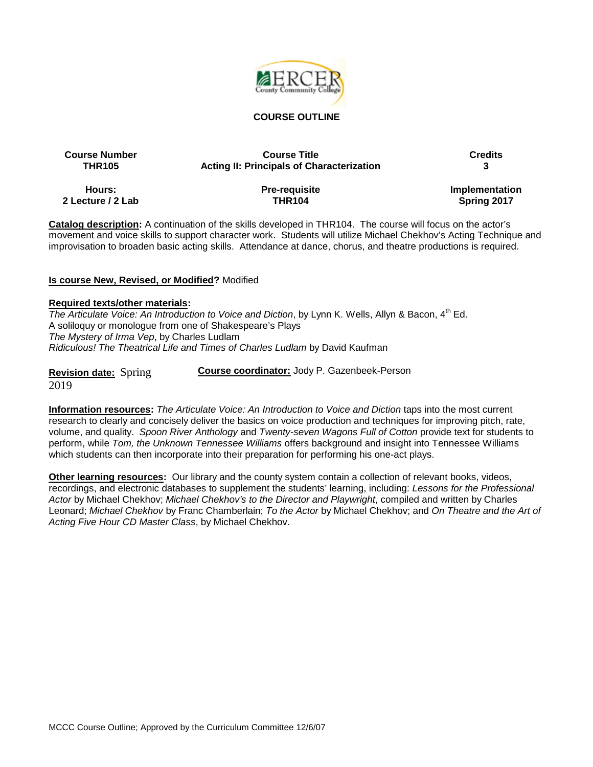

#### **COURSE OUTLINE**

# **Course Number Course Title Credits THR105 Acting II: Principals of Characterization 3**

**Hours: 2 Lecture / 2 Lab** **Pre-requisite THR104**

**Implementation Spring 2017**

**Catalog description:** A continuation of the skills developed in THR104. The course will focus on the actor's movement and voice skills to support character work. Students will utilize Michael Chekhov's Acting Technique and improvisation to broaden basic acting skills. Attendance at dance, chorus, and theatre productions is required.

#### **Is course New, Revised, or Modified?** Modified

#### **Required texts/other materials:**

*The Articulate Voice: An Introduction to Voice and Diction*, by Lynn K. Wells, Allyn & Bacon, 4<sup>th</sup> Ed. A soliloquy or monologue from one of Shakespeare's Plays *The Mystery of Irma Vep*, by Charles Ludlam *Ridiculous! The Theatrical Life and Times of Charles Ludlam* by David Kaufman

**Revision date:** Spring 2019

**Information resources:** *The Articulate Voice: An Introduction to Voice and Diction* taps into the most current research to clearly and concisely deliver the basics on voice production and techniques for improving pitch, rate, volume, and quality. *Spoon River Anthology* and *Twenty-seven Wagons Full of Cotton* provide text for students to perform, while *Tom, the Unknown Tennessee Williams* offers background and insight into Tennessee Williams which students can then incorporate into their preparation for performing his one-act plays.

**Course coordinator:** Jody P. Gazenbeek-Person

**Other learning resources:** Our library and the county system contain a collection of relevant books, videos, recordings, and electronic databases to supplement the students' learning, including: *Lessons for the Professional Actor* by Michael Chekhov; *Michael Chekhov's to the Director and Playwright*, compiled and written by Charles Leonard; *Michael Chekhov* by Franc Chamberlain; *To the Actor* by Michael Chekhov; and *On Theatre and the Art of Acting Five Hour CD Master Class*, by Michael Chekhov.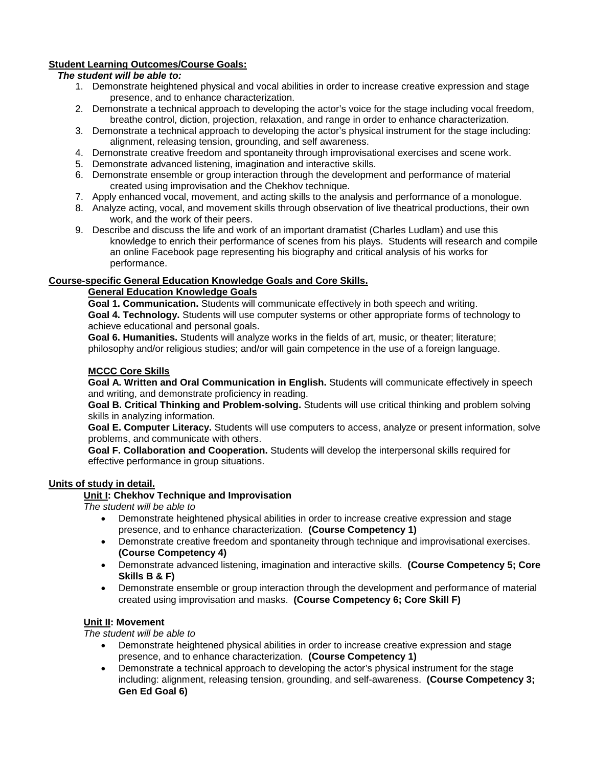# **Student Learning Outcomes/Course Goals:**

## *The student will be able to:*

- 1. Demonstrate heightened physical and vocal abilities in order to increase creative expression and stage presence, and to enhance characterization.
- 2. Demonstrate a technical approach to developing the actor's voice for the stage including vocal freedom, breathe control, diction, projection, relaxation, and range in order to enhance characterization.
- 3. Demonstrate a technical approach to developing the actor's physical instrument for the stage including: alignment, releasing tension, grounding, and self awareness.
- 4. Demonstrate creative freedom and spontaneity through improvisational exercises and scene work.
- 5. Demonstrate advanced listening, imagination and interactive skills.
- 6. Demonstrate ensemble or group interaction through the development and performance of material created using improvisation and the Chekhov technique.
- 7. Apply enhanced vocal, movement, and acting skills to the analysis and performance of a monologue.
- 8. Analyze acting, vocal, and movement skills through observation of live theatrical productions, their own work, and the work of their peers.
- 9. Describe and discuss the life and work of an important dramatist (Charles Ludlam) and use this knowledge to enrich their performance of scenes from his plays. Students will research and compile an online Facebook page representing his biography and critical analysis of his works for performance.

## **Course-specific General Education Knowledge Goals and Core Skills.**

# **General Education Knowledge Goals**

**Goal 1. Communication.** Students will communicate effectively in both speech and writing. **Goal 4. Technology.** Students will use computer systems or other appropriate forms of technology to achieve educational and personal goals.

**Goal 6. Humanities.** Students will analyze works in the fields of art, music, or theater; literature; philosophy and/or religious studies; and/or will gain competence in the use of a foreign language.

# **MCCC Core Skills**

**Goal A. Written and Oral Communication in English.** Students will communicate effectively in speech and writing, and demonstrate proficiency in reading.

**Goal B. Critical Thinking and Problem-solving.** Students will use critical thinking and problem solving skills in analyzing information.

**Goal E. Computer Literacy.** Students will use computers to access, analyze or present information, solve problems, and communicate with others.

**Goal F. Collaboration and Cooperation.** Students will develop the interpersonal skills required for effective performance in group situations.

# **Units of study in detail.**

# **Unit I: Chekhov Technique and Improvisation**

*The student will be able to*

- Demonstrate heightened physical abilities in order to increase creative expression and stage presence, and to enhance characterization. **(Course Competency 1)**
- Demonstrate creative freedom and spontaneity through technique and improvisational exercises. **(Course Competency 4)**
- Demonstrate advanced listening, imagination and interactive skills. **(Course Competency 5; Core Skills B & F)**
- Demonstrate ensemble or group interaction through the development and performance of material created using improvisation and masks. **(Course Competency 6; Core Skill F)**

## **Unit II: Movement**

*The student will be able to*

- Demonstrate heightened physical abilities in order to increase creative expression and stage presence, and to enhance characterization. **(Course Competency 1)**
- Demonstrate a technical approach to developing the actor's physical instrument for the stage including: alignment, releasing tension, grounding, and self-awareness. **(Course Competency 3; Gen Ed Goal 6)**